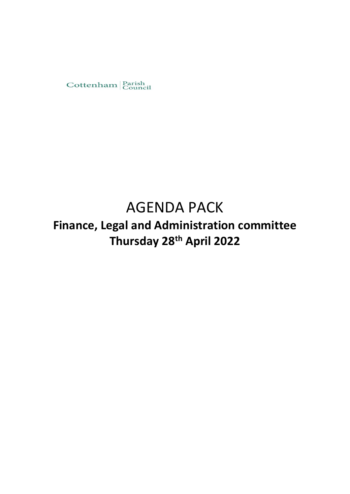

# AGENDA PACK

**Finance, Legal and Administration committee Thursday 28th April 2022**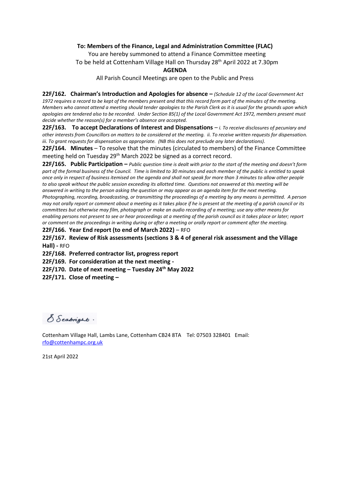#### **To: Members of the Finance, Legal and Administration Committee (FLAC)**

You are hereby summoned to attend a Finance Committee meeting To be held at Cottenham Village Hall on Thursday 28th April 2022 at 7.30pm

#### **AGENDA**

All Parish Council Meetings are open to the Public and Press

**22F/162. Chairman's Introduction and Apologies for absence –** *(Schedule 12 of the Local Government Act 1972 requires a record to be kept of the members present and that this record form part of the minutes of the meeting. Members who cannot attend a meeting should tender apologies to the Parish Clerk as it is usual for the grounds upon which apologies are tendered also to be recorded. Under Section 85(1) of the Local Government Act 1972, members present must decide whether the reason(s) for a member's absence are accepted.* 

**22F/163. To accept Declarations of Interest and Dispensations** – *i. To receive disclosures of pecuniary and other interests from Councillors on matters to be considered at the meeting. ii. To receive written requests for dispensation. iii. To grant requests for dispensation as appropriate. (NB this does not preclude any later declarations).* 

**22F/164. Minutes** – To resolve that the minutes (circulated to members) of the Finance Committee meeting held on Tuesday 29<sup>th</sup> March 2022 be signed as a correct record.

**22F/165. Public Participation –** *Public question time is dealt with prior to the start of the meeting and doesn't form part of the formal business of the Council. Time is limited to 30 minutes and each member of the public is entitled to speak once only in respect of business itemised on the agenda and shall not speak for more than 3 minutes to allow other people to also speak without the public session exceeding its allotted time. Questions not answered at this meeting will be answered in writing to the person asking the question or may appear as an agenda item for the next meeting. Photographing, recording, broadcasting, or transmitting the proceedings of a meeting by any means is permitted. A person may not orally report or comment about a meeting as it takes place if he is present at the meeting of a parish council or its committees but otherwise may film, photograph or make an audio recording of a meeting; use any other means for enabling persons not present to see or hear proceedings at a meeting of the parish council as it takes place or later; report or comment on the proceedings in writing during or after a meeting or orally report or comment after the meeting.* 

**22F/166. Year End report (to end of March 2022)** – RFO

**22F/167. Review of Risk assessments (sections 3 & 4 of general risk assessment and the Village Hall) -** RFO

**22F/168. Preferred contractor list, progress report** 

**22F/169. For consideration at the next meeting -**

**22F/170. Date of next meeting – Tuesday 24 th May 2022**

**22F/171. Close of meeting –**

S Seabright.

Cottenham Village Hall, Lambs Lane, Cottenham CB24 8TA Tel: 07503 328401 Email: [rfo@cottenhampc.org.uk](mailto:rfo@cottenhampc.org.uk)

21st April 2022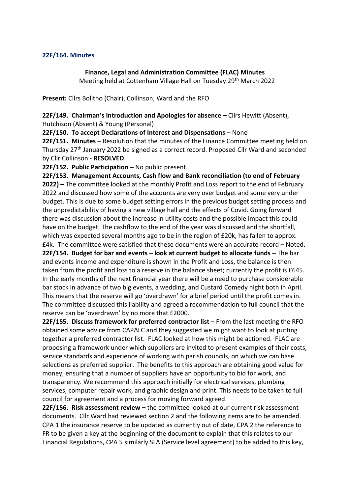## **22F/164. Minutes**

# **Finance, Legal and Administration Committee (FLAC) Minutes**

Meeting held at Cottenham Village Hall on Tuesday 29<sup>th</sup> March 2022

**Present:** Cllrs Bolitho (Chair), Collinson, Ward and the RFO

**22F/149. Chairman's Introduction and Apologies for absence –** Cllrs Hewitt (Absent), Hutchison (Absent) & Young (Personal)

**22F/150. To accept Declarations of Interest and Dispensations** – None

**22F/151. Minutes** – Resolution that the minutes of the Finance Committee meeting held on Thursday 27th January 2022 be signed as a correct record. Proposed Cllr Ward and seconded by Cllr Collinson - **RESOLVED**.

**22F/152. Public Participation –** No public present.

**22F/153. Management Accounts, Cash flow and Bank reconciliation (to end of February 2022) –** The committee looked at the monthly Profit and Loss report to the end of February 2022 and discussed how some of the accounts are very over budget and some very under budget. This is due to some budget setting errors in the previous budget setting process and the unpredictability of having a new village hall and the effects of Covid. Going forward there was discussion about the increase in utility costs and the possible impact this could have on the budget. The cashflow to the end of the year was discussed and the shortfall, which was expected several months ago to be in the region of £20k, has fallen to approx.

£4k. The committee were satisfied that these documents were an accurate record – Noted. **22F/154. Budget for bar and events – look at current budget to allocate funds –** The bar and events income and expenditure is shown in the Profit and Loss, the balance is then taken from the profit and loss to a reserve in the balance sheet; currently the profit is £645. In the early months of the next financial year there will be a need to purchase considerable bar stock in advance of two big events, a wedding, and Custard Comedy night both in April. This means that the reserve will go 'overdrawn' for a brief period until the profit comes in. The committee discussed this liability and agreed a recommendation to full council that the reserve can be 'overdrawn' by no more that £2000.

**22F/155. Discuss framework for preferred contractor list** – From the last meeting the RFO obtained some advice from CAPALC and they suggested we might want to look at putting together a preferred contractor list. FLAC looked at how this might be actioned. FLAC are proposing a framework under which suppliers are invited to present examples of their costs, service standards and experience of working with parish councils, on which we can base selections as preferred supplier. The benefits to this approach are obtaining good value for money, ensuring that a number of suppliers have an opportunity to bid for work, and transparency. We recommend this approach initially for electrical services, plumbing services, computer repair work, and graphic design and print. This needs to be taken to full council for agreement and a process for moving forward agreed.

**22F/156. Risk assessment review –** the committee looked at our current risk assessment documents. Cllr Ward had reviewed section 2 and the following items are to be amended. CPA 1 the insurance reserve to be updated as currently out of date, CPA 2 the reference to FR to be given a key at the beginning of the document to explain that this relates to our Financial Regulations, CPA 5 similarly SLA (Service level agreement) to be added to this key,